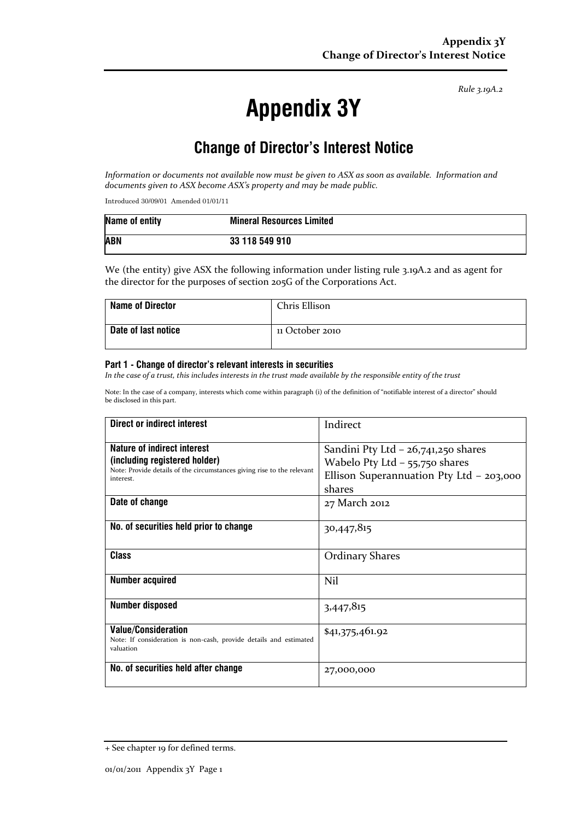*Rule 3.19A.2*

# **Appendix 3Y**

## **Change of Director's Interest Notice**

*Information or documents not available now must be given to ASX as soon as available. Information and documents given to ASX become ASX's property and may be made public.*

Introduced 30/09/01 Amended 01/01/11

| Name of entity | <b>Mineral Resources Limited</b> |
|----------------|----------------------------------|
| <b>ABN</b>     | 33 118 549 910                   |

We (the entity) give ASX the following information under listing rule 3.19A.2 and as agent for the director for the purposes of section 205G of the Corporations Act.

| <b>Name of Director</b>    | Chris Ellison   |
|----------------------------|-----------------|
| <b>Date of last notice</b> | 11 October 2010 |

#### **Part 1 - Change of director's relevant interests in securities**

*In the case of a trust, this includes interests in the trust made available by the responsible entity of the trust*

Note: In the case of a company, interests which come within paragraph (i) of the definition of "notifiable interest of a director" should be disclosed in this part.

| Direct or indirect interest                                                                                                                         | Indirect                                                                                                                        |
|-----------------------------------------------------------------------------------------------------------------------------------------------------|---------------------------------------------------------------------------------------------------------------------------------|
| Nature of indirect interest<br>(including registered holder)<br>Note: Provide details of the circumstances giving rise to the relevant<br>interest. | Sandini Pty Ltd $-$ 26,741,250 shares<br>Wabelo Pty Ltd $-$ 55,750 shares<br>Ellison Superannuation Pty Ltd - 203,000<br>shares |
| Date of change                                                                                                                                      | 27 March 2012                                                                                                                   |
| No. of securities held prior to change                                                                                                              | 30,447,815                                                                                                                      |
| Class                                                                                                                                               | <b>Ordinary Shares</b>                                                                                                          |
| <b>Number acquired</b>                                                                                                                              | Nil                                                                                                                             |
| <b>Number disposed</b>                                                                                                                              | 3,447,815                                                                                                                       |
| <b>Value/Consideration</b><br>Note: If consideration is non-cash, provide details and estimated<br>valuation                                        | \$41,375,461.92                                                                                                                 |
| No. of securities held after change                                                                                                                 | 27,000,000                                                                                                                      |

<sup>+</sup> See chapter 19 for defined terms.